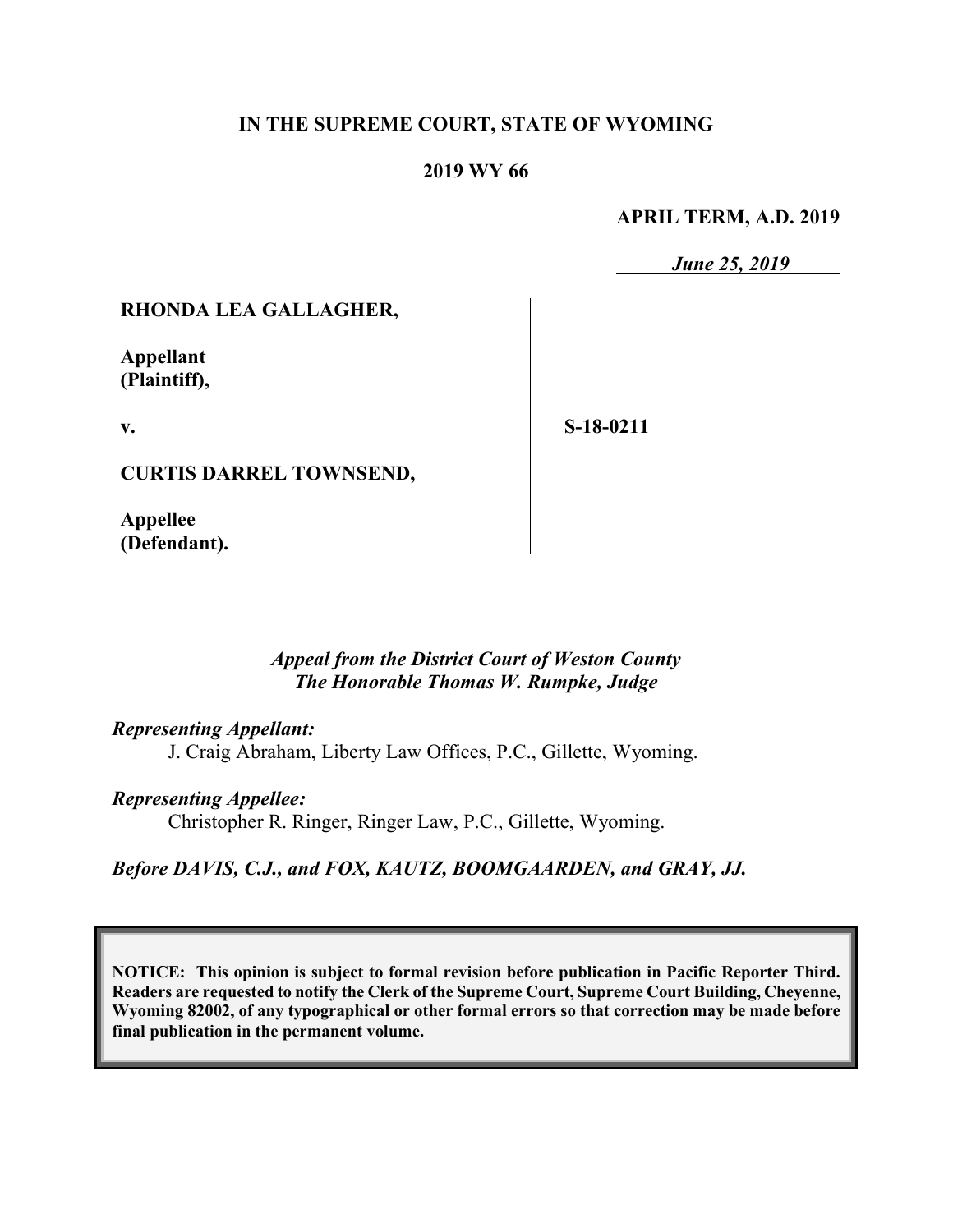## **IN THE SUPREME COURT, STATE OF WYOMING**

### **2019 WY 66**

#### **APRIL TERM, A.D. 2019**

*June 25, 2019*

## **RHONDA LEA GALLAGHER,**

**Appellant (Plaintiff),**

**v.**

**S-18-0211**

**CURTIS DARREL TOWNSEND,**

**Appellee (Defendant).**

> *Appeal from the District Court of Weston County The Honorable Thomas W. Rumpke, Judge*

### *Representing Appellant:*

J. Craig Abraham, Liberty Law Offices, P.C., Gillette, Wyoming.

### *Representing Appellee:*

Christopher R. Ringer, Ringer Law, P.C., Gillette, Wyoming.

### *Before DAVIS, C.J., and FOX, KAUTZ, BOOMGAARDEN, and GRAY, JJ.*

**NOTICE: This opinion is subject to formal revision before publication in Pacific Reporter Third. Readers are requested to notify the Clerk of the Supreme Court, Supreme Court Building, Cheyenne, Wyoming 82002, of any typographical or other formal errors so that correction may be made before final publication in the permanent volume.**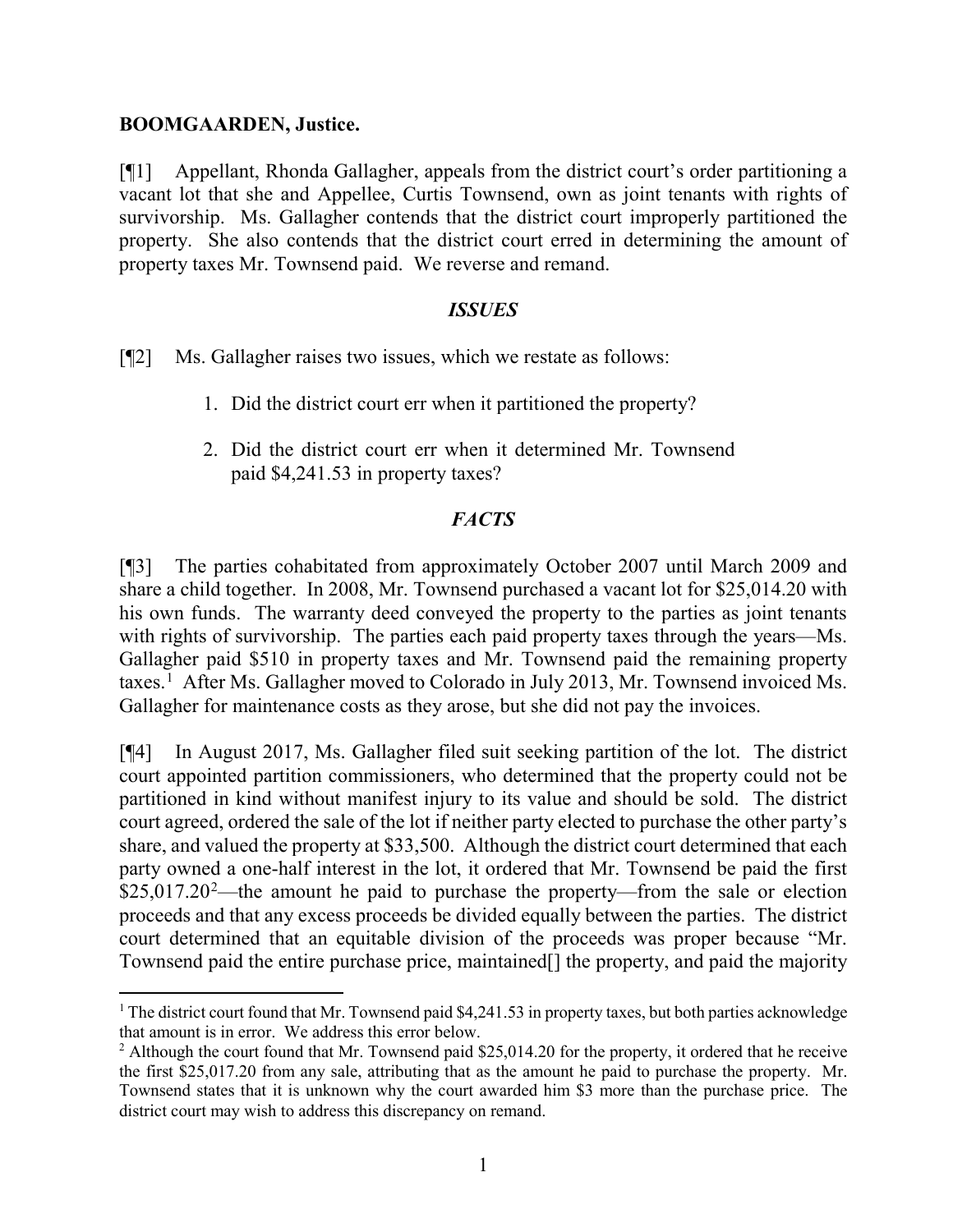### **BOOMGAARDEN, Justice.**

[¶1] Appellant, Rhonda Gallagher, appeals from the district court's order partitioning a vacant lot that she and Appellee, Curtis Townsend, own as joint tenants with rights of survivorship. Ms. Gallagher contends that the district court improperly partitioned the property. She also contends that the district court erred in determining the amount of property taxes Mr. Townsend paid. We reverse and remand.

## *ISSUES*

[¶2] Ms. Gallagher raises two issues, which we restate as follows:

- 1. Did the district court err when it partitioned the property?
- 2. Did the district court err when it determined Mr. Townsend paid \$4,241.53 in property taxes?

## *FACTS*

[¶3] The parties cohabitated from approximately October 2007 until March 2009 and share a child together. In 2008, Mr. Townsend purchased a vacant lot for \$25,014.20 with his own funds. The warranty deed conveyed the property to the parties as joint tenants with rights of survivorship. The parties each paid property taxes through the years—Ms. Gallagher paid \$510 in property taxes and Mr. Townsend paid the remaining property taxes.<sup>[1](#page-1-0)</sup> After Ms. Gallagher moved to Colorado in July 2013, Mr. Townsend invoiced Ms. Gallagher for maintenance costs as they arose, but she did not pay the invoices.

[¶4] In August 2017, Ms. Gallagher filed suit seeking partition of the lot. The district court appointed partition commissioners, who determined that the property could not be partitioned in kind without manifest injury to its value and should be sold. The district court agreed, ordered the sale of the lot if neither party elected to purchase the other party's share, and valued the property at \$33,500. Although the district court determined that each party owned a one-half interest in the lot, it ordered that Mr. Townsend be paid the first  $$25,017.20<sup>2</sup>$  $$25,017.20<sup>2</sup>$  $$25,017.20<sup>2</sup>$ —the amount he paid to purchase the property—from the sale or election proceeds and that any excess proceeds be divided equally between the parties. The district court determined that an equitable division of the proceeds was proper because "Mr. Townsend paid the entire purchase price, maintained[] the property, and paid the majority

<span id="page-1-0"></span><sup>&</sup>lt;sup>1</sup> The district court found that Mr. Townsend paid  $$4,241.53$  in property taxes, but both parties acknowledge that amount is in error. We address this error below.

<span id="page-1-1"></span><sup>&</sup>lt;sup>2</sup> Although the court found that Mr. Townsend paid \$25,014.20 for the property, it ordered that he receive the first \$25,017.20 from any sale, attributing that as the amount he paid to purchase the property. Mr. Townsend states that it is unknown why the court awarded him \$3 more than the purchase price. The district court may wish to address this discrepancy on remand.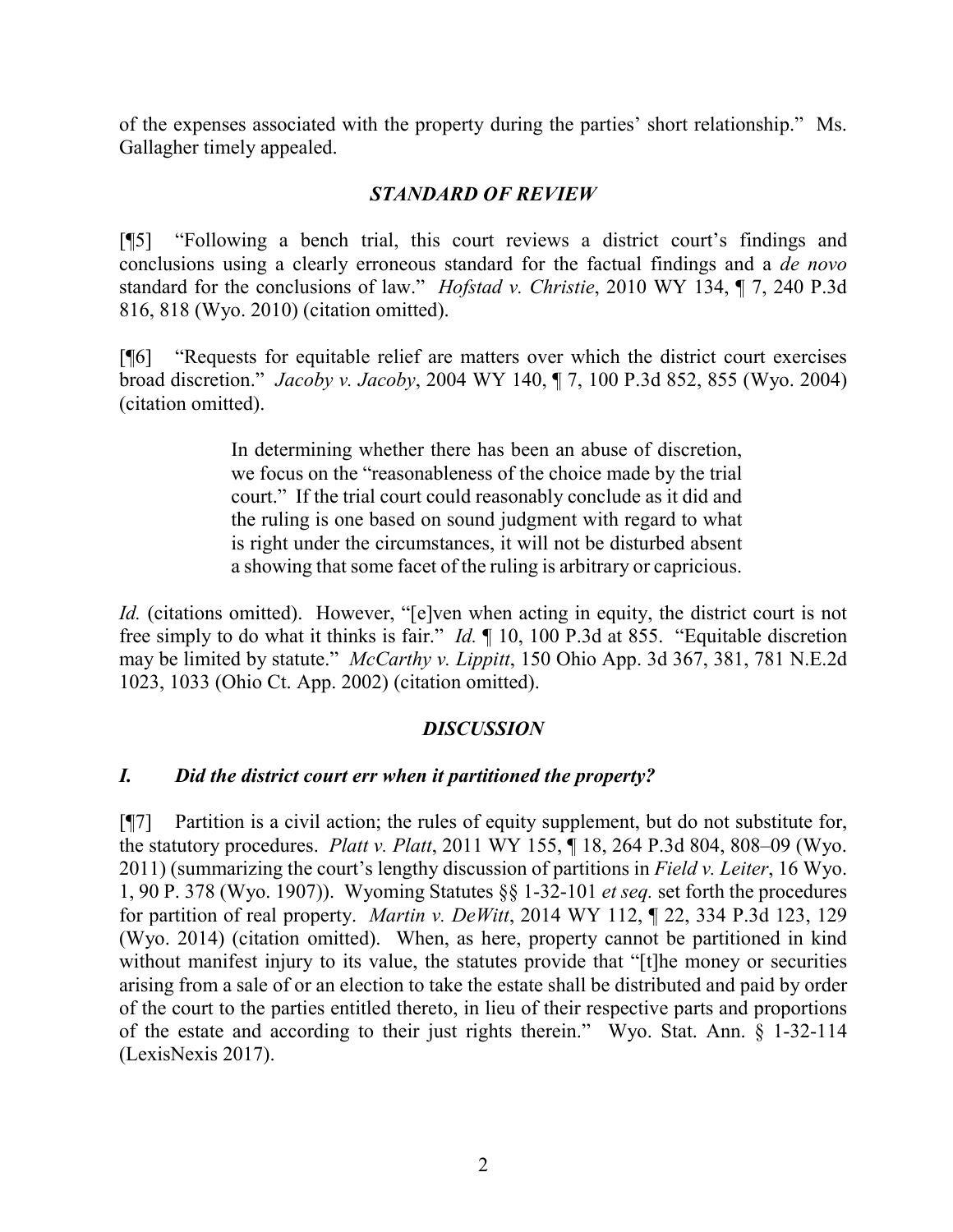of the expenses associated with the property during the parties' short relationship." Ms. Gallagher timely appealed.

## *STANDARD OF REVIEW*

[¶5] "Following a bench trial, this court reviews a district court's findings and conclusions using a clearly erroneous standard for the factual findings and a *de novo* standard for the conclusions of law." *Hofstad v. Christie*, 2010 WY 134, ¶ 7, 240 P.3d 816, 818 (Wyo. 2010) (citation omitted).

[¶6] "Requests for equitable relief are matters over which the district court exercises broad discretion." *Jacoby v. Jacoby*, 2004 WY 140, ¶ 7, 100 P.3d 852, 855 (Wyo. 2004) (citation omitted).

> In determining whether there has been an abuse of discretion, we focus on the "reasonableness of the choice made by the trial court." If the trial court could reasonably conclude as it did and the ruling is one based on sound judgment with regard to what is right under the circumstances, it will not be disturbed absent a showing that some facet of the ruling is arbitrary or capricious.

*Id.* (citations omitted). However, "[e]ven when acting in equity, the district court is not free simply to do what it thinks is fair." *Id.* ¶ 10, 100 P.3d at 855. "Equitable discretion may be limited by statute." *McCarthy v. Lippitt*, 150 Ohio App. 3d 367, 381, 781 N.E.2d 1023, 1033 (Ohio Ct. App. 2002) (citation omitted).

## *DISCUSSION*

## *I. Did the district court err when it partitioned the property?*

[¶7] Partition is a civil action; the rules of equity supplement, but do not substitute for, the statutory procedures. *Platt v. Platt*, 2011 WY 155, ¶ 18, 264 P.3d 804, 808–09 (Wyo. 2011) (summarizing the court's lengthy discussion of partitions in *Field v. Leiter*, 16 Wyo. 1, 90 P. 378 (Wyo. 1907)). Wyoming Statutes §§ 1-32-101 *et seq.* set forth the procedures for partition of real property. *Martin v. DeWitt*, 2014 WY 112, ¶ 22, 334 P.3d 123, 129 (Wyo. 2014) (citation omitted). When, as here, property cannot be partitioned in kind without manifest injury to its value, the statutes provide that "[t]he money or securities arising from a sale of or an election to take the estate shall be distributed and paid by order of the court to the parties entitled thereto, in lieu of their respective parts and proportions of the estate and according to their just rights therein." Wyo. Stat. Ann. § 1-32-114 (LexisNexis 2017).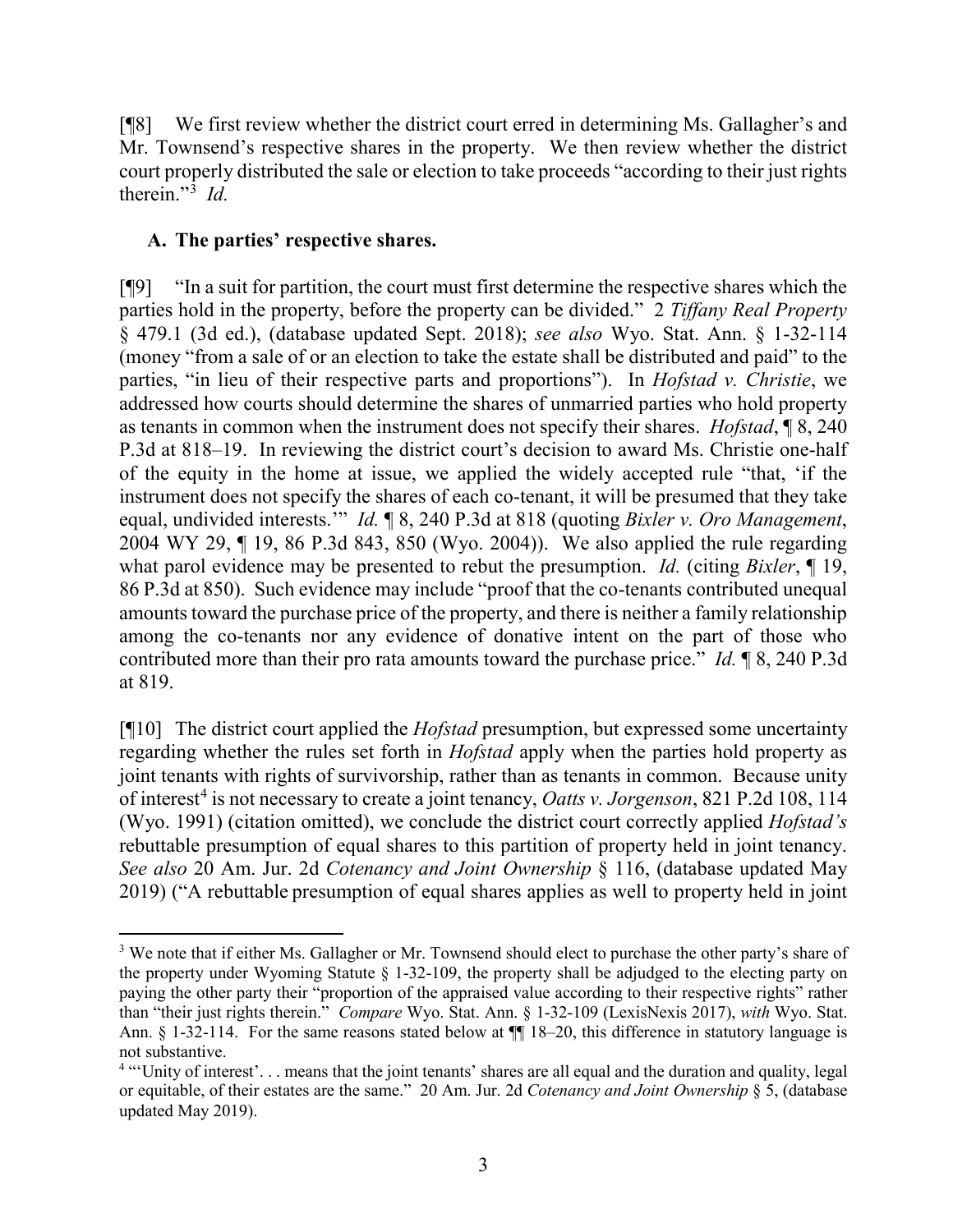[¶8] We first review whether the district court erred in determining Ms. Gallagher's and Mr. Townsend's respective shares in the property. We then review whether the district court properly distributed the sale or election to take proceeds "according to their just rights therein."[3](#page-3-0) *Id.*

## **A. The parties' respective shares.**

[¶9] "In a suit for partition, the court must first determine the respective shares which the parties hold in the property, before the property can be divided." 2 *Tiffany Real Property* § 479.1 (3d ed.), (database updated Sept. 2018); *see also* Wyo. Stat. Ann. § 1-32-114 (money "from a sale of or an election to take the estate shall be distributed and paid" to the parties, "in lieu of their respective parts and proportions"). In *Hofstad v. Christie*, we addressed how courts should determine the shares of unmarried parties who hold property as tenants in common when the instrument does not specify their shares. *Hofstad*, ¶ 8, 240 P.3d at 818–19. In reviewing the district court's decision to award Ms. Christie one-half of the equity in the home at issue, we applied the widely accepted rule "that, 'if the instrument does not specify the shares of each co-tenant, it will be presumed that they take equal, undivided interests.'" *Id.* ¶ 8, 240 P.3d at 818 (quoting *Bixler v. Oro Management*, 2004 WY 29, ¶ 19, 86 P.3d 843, 850 (Wyo. 2004)). We also applied the rule regarding what parol evidence may be presented to rebut the presumption. *Id.* (citing *Bixler*, ¶ 19, 86 P.3d at 850). Such evidence may include "proof that the co-tenants contributed unequal amounts toward the purchase price of the property, and there is neither a family relationship among the co-tenants nor any evidence of donative intent on the part of those who contributed more than their pro rata amounts toward the purchase price." *Id.* ¶ 8, 240 P.3d at 819.

[¶10] The district court applied the *Hofstad* presumption, but expressed some uncertainty regarding whether the rules set forth in *Hofstad* apply when the parties hold property as joint tenants with rights of survivorship, rather than as tenants in common. Because unity of interest<sup>[4](#page-3-1)</sup> is not necessary to create a joint tenancy, *Oatts v. Jorgenson*, 821 P.2d 108, 114 (Wyo. 1991) (citation omitted), we conclude the district court correctly applied *Hofstad's*  rebuttable presumption of equal shares to this partition of property held in joint tenancy. *See also* 20 Am. Jur. 2d *Cotenancy and Joint Ownership* § 116, (database updated May 2019) ("A rebuttable presumption of equal shares applies as well to property held in joint

<span id="page-3-0"></span><sup>&</sup>lt;sup>3</sup> We note that if either Ms. Gallagher or Mr. Townsend should elect to purchase the other party's share of the property under Wyoming Statute § 1-32-109, the property shall be adjudged to the electing party on paying the other party their "proportion of the appraised value according to their respective rights" rather than "their just rights therein." *Compare* Wyo. Stat. Ann. § 1-32-109 (LexisNexis 2017), *with* Wyo. Stat. Ann. § 1-32-114. For the same reasons stated below at  $\P$  18–20, this difference in statutory language is not substantive.

<span id="page-3-1"></span><sup>&</sup>lt;sup>4</sup> "Unity of interest'... means that the joint tenants' shares are all equal and the duration and quality, legal or equitable, of their estates are the same." 20 Am. Jur. 2d *Cotenancy and Joint Ownership* § 5, (database updated May 2019).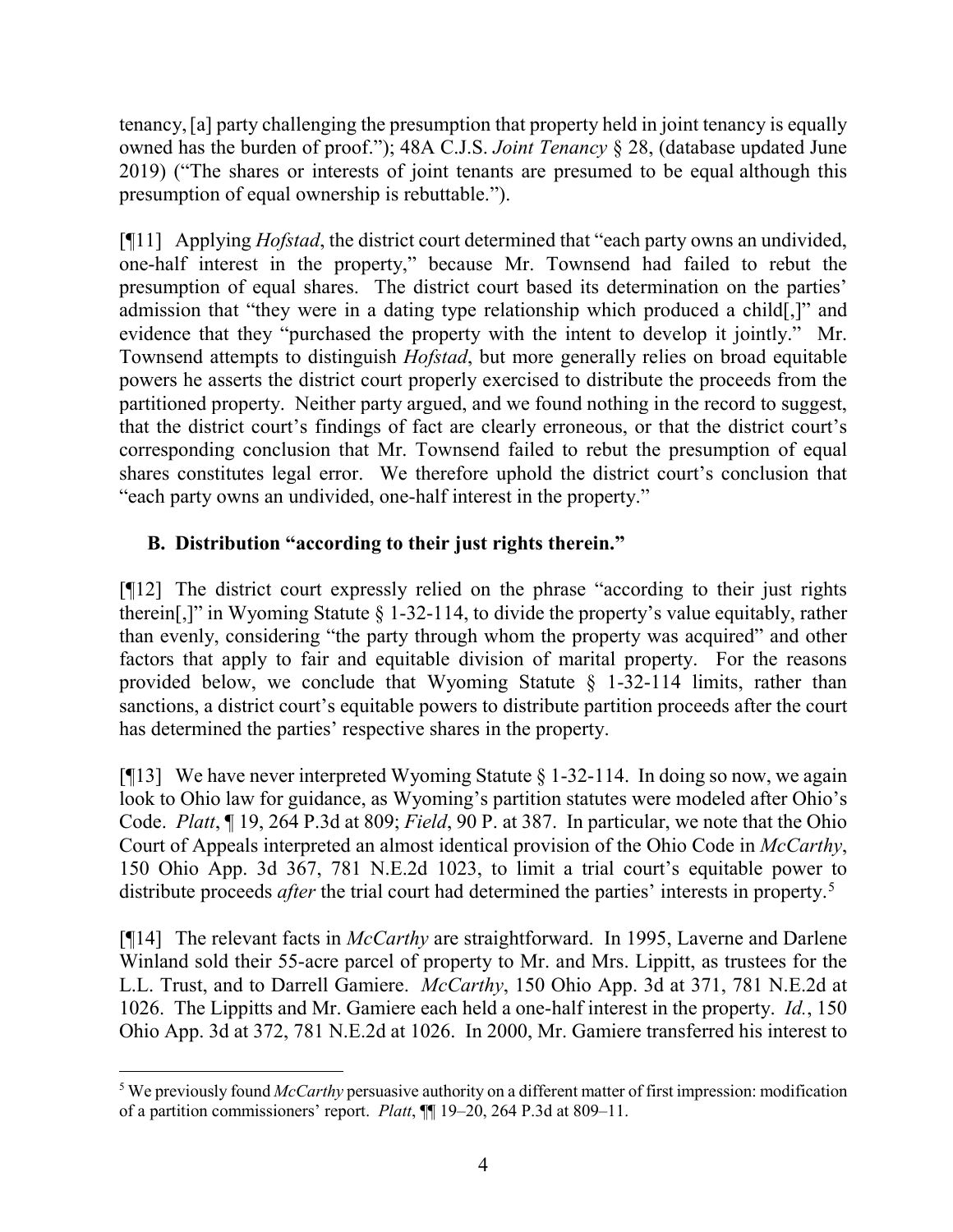tenancy,[a] party challenging the presumption that property held in joint tenancy is equally owned has the burden of proof."); 48A C.J.S. *Joint Tenancy* § 28, (database updated June 2019) ("The shares or interests of joint tenants are presumed to be equal although this presumption of equal ownership is rebuttable.").

[¶11] Applying *Hofstad*, the district court determined that "each party owns an undivided, one-half interest in the property," because Mr. Townsend had failed to rebut the presumption of equal shares. The district court based its determination on the parties' admission that "they were in a dating type relationship which produced a child[,]" and evidence that they "purchased the property with the intent to develop it jointly." Mr. Townsend attempts to distinguish *Hofstad*, but more generally relies on broad equitable powers he asserts the district court properly exercised to distribute the proceeds from the partitioned property. Neither party argued, and we found nothing in the record to suggest, that the district court's findings of fact are clearly erroneous, or that the district court's corresponding conclusion that Mr. Townsend failed to rebut the presumption of equal shares constitutes legal error. We therefore uphold the district court's conclusion that "each party owns an undivided, one-half interest in the property."

# **B. Distribution "according to their just rights therein."**

[¶12] The district court expressly relied on the phrase "according to their just rights therein[,]" in Wyoming Statute  $\S 1-32-114$ , to divide the property's value equitably, rather than evenly, considering "the party through whom the property was acquired" and other factors that apply to fair and equitable division of marital property. For the reasons provided below, we conclude that Wyoming Statute  $\S$  1-32-114 limits, rather than sanctions, a district court's equitable powers to distribute partition proceeds after the court has determined the parties' respective shares in the property.

[ $[13]$ ] We have never interpreted Wyoming Statute § 1-32-114. In doing so now, we again look to Ohio law for guidance, as Wyoming's partition statutes were modeled after Ohio's Code. *Platt*, ¶ 19, 264 P.3d at 809; *Field*, 90 P. at 387. In particular, we note that the Ohio Court of Appeals interpreted an almost identical provision of the Ohio Code in *McCarthy*, 150 Ohio App. 3d 367, 781 N.E.2d 1023, to limit a trial court's equitable power to distribute proceeds *after* the trial court had determined the parties' interests in property.<sup>[5](#page-4-0)</sup>

[¶14] The relevant facts in *McCarthy* are straightforward. In 1995, Laverne and Darlene Winland sold their 55-acre parcel of property to Mr. and Mrs. Lippitt, as trustees for the L.L. Trust, and to Darrell Gamiere. *McCarthy*, 150 Ohio App. 3d at 371, 781 N.E.2d at 1026. The Lippitts and Mr. Gamiere each held a one-half interest in the property. *Id.*, 150 Ohio App. 3d at 372, 781 N.E.2d at 1026.In 2000, Mr. Gamiere transferred his interest to

<span id="page-4-0"></span> <sup>5</sup> We previously found *McCarthy* persuasive authority on a different matter of first impression: modification of a partition commissioners' report. *Platt*, ¶¶ 19–20, 264 P.3d at 809–11.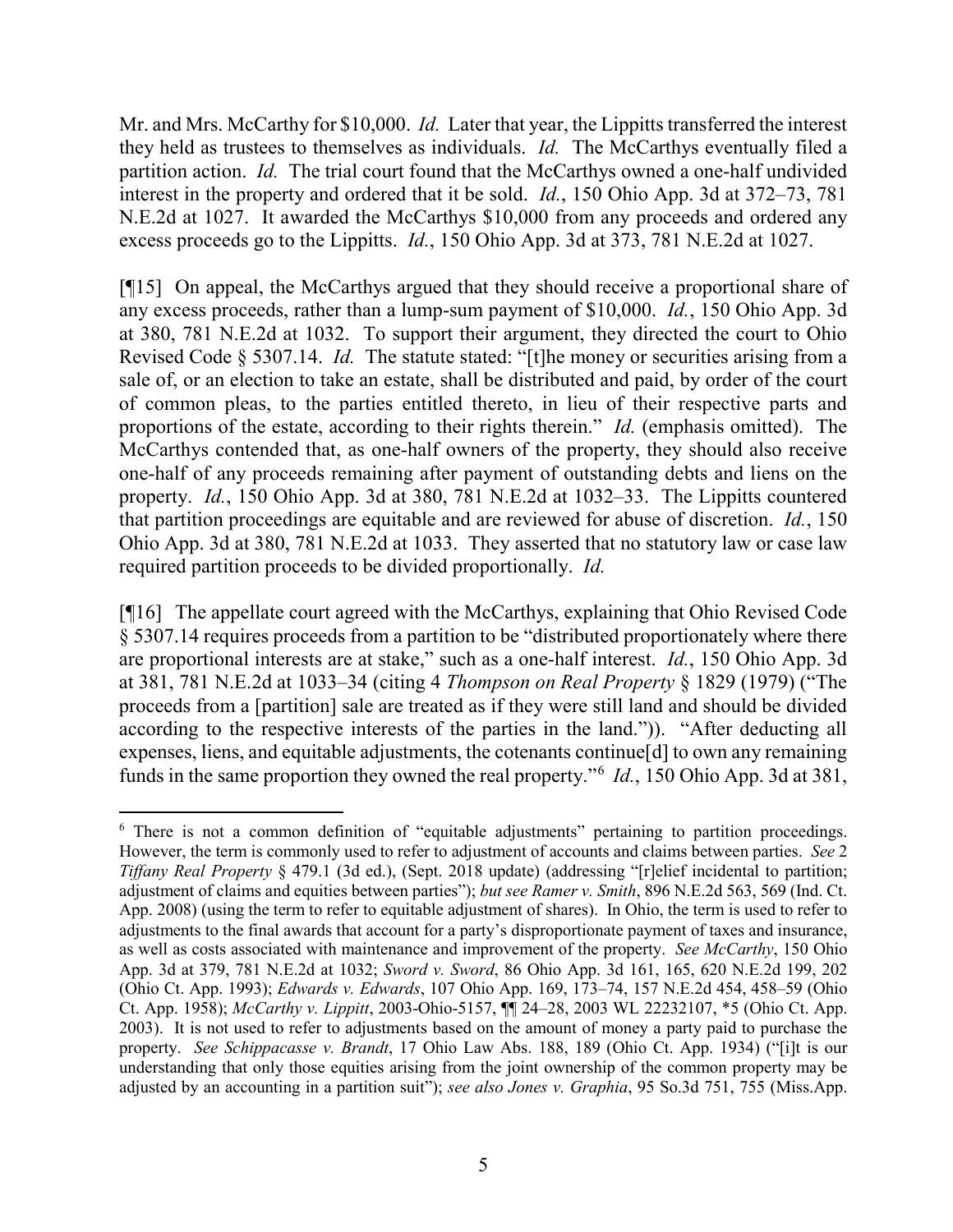Mr. and Mrs. McCarthy for \$10,000. *Id.* Later that year, the Lippitts transferred the interest they held as trustees to themselves as individuals. *Id.* The McCarthys eventually filed a partition action. *Id.* The trial court found that the McCarthys owned a one-half undivided interest in the property and ordered that it be sold. *Id.*, 150 Ohio App. 3d at 372–73, 781 N.E.2d at 1027. It awarded the McCarthys \$10,000 from any proceeds and ordered any excess proceeds go to the Lippitts. *Id.*, 150 Ohio App. 3d at 373, 781 N.E.2d at 1027.

[¶15] On appeal, the McCarthys argued that they should receive a proportional share of any excess proceeds, rather than a lump-sum payment of \$10,000. *Id.*, 150 Ohio App. 3d at 380, 781 N.E.2d at 1032. To support their argument, they directed the court to Ohio Revised Code § 5307.14. *Id.* The statute stated: "[t]he money or securities arising from a sale of, or an election to take an estate, shall be distributed and paid, by order of the court of common pleas, to the parties entitled thereto, in lieu of their respective parts and proportions of the estate, according to their rights therein." *Id.* (emphasis omitted). The McCarthys contended that, as one-half owners of the property, they should also receive one-half of any proceeds remaining after payment of outstanding debts and liens on the property. *Id.*, 150 Ohio App. 3d at 380, 781 N.E.2d at 1032–33. The Lippitts countered that partition proceedings are equitable and are reviewed for abuse of discretion. *Id.*, 150 Ohio App. 3d at 380, 781 N.E.2d at 1033. They asserted that no statutory law or case law required partition proceeds to be divided proportionally. *Id.* 

[¶16] The appellate court agreed with the McCarthys, explaining that Ohio Revised Code § 5307.14 requires proceeds from a partition to be "distributed proportionately where there are proportional interests are at stake," such as a one-half interest. *Id.*, 150 Ohio App. 3d at 381, 781 N.E.2d at 1033–34 (citing 4 *Thompson on Real Property* § 1829 (1979) ("The proceeds from a [partition] sale are treated as if they were still land and should be divided according to the respective interests of the parties in the land.")). "After deducting all expenses, liens, and equitable adjustments, the cotenants continue[d] to own any remaining funds in the same proportion they owned the real property."[6](#page-5-0) *Id.*, 150 Ohio App. 3d at 381,

<span id="page-5-0"></span><sup>&</sup>lt;sup>6</sup> There is not a common definition of "equitable adjustments" pertaining to partition proceedings. However, the term is commonly used to refer to adjustment of accounts and claims between parties. *See* 2 *Tiffany Real Property* § 479.1 (3d ed.), (Sept. 2018 update) (addressing "[r]elief incidental to partition; adjustment of claims and equities between parties"); *but see Ramer v. Smith*, 896 N.E.2d 563, 569 (Ind. Ct. App. 2008) (using the term to refer to equitable adjustment of shares). In Ohio, the term is used to refer to adjustments to the final awards that account for a party's disproportionate payment of taxes and insurance, as well as costs associated with maintenance and improvement of the property. *See McCarthy*, 150 Ohio App. 3d at 379, 781 N.E.2d at 1032; *Sword v. Sword*, 86 Ohio App. 3d 161, 165, 620 N.E.2d 199, 202 (Ohio Ct. App. 1993); *Edwards v. Edwards*, 107 Ohio App. 169, 173–74, 157 N.E.2d 454, 458–59 (Ohio Ct. App. 1958); *McCarthy v. Lippitt*, 2003-Ohio-5157, ¶¶ 24–28, 2003 WL 22232107, \*5 (Ohio Ct. App. 2003). It is not used to refer to adjustments based on the amount of money a party paid to purchase the property. *See Schippacasse v. Brandt*, 17 Ohio Law Abs. 188, 189 (Ohio Ct. App. 1934) ("[i]t is our understanding that only those equities arising from the joint ownership of the common property may be adjusted by an accounting in a partition suit"); *see also Jones v. Graphia*, 95 So.3d 751, 755 (Miss.App.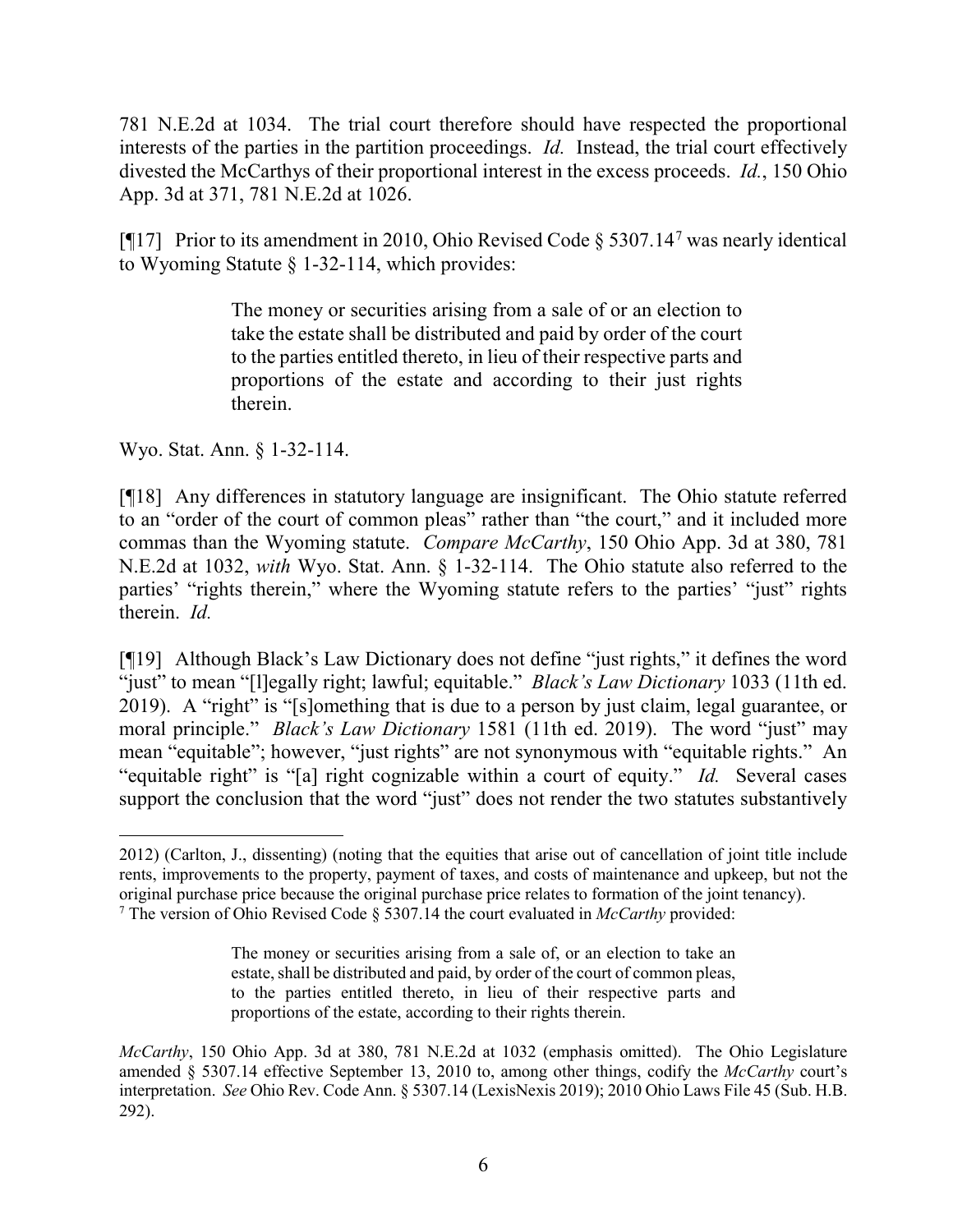781 N.E.2d at 1034. The trial court therefore should have respected the proportional interests of the parties in the partition proceedings. *Id.* Instead, the trial court effectively divested the McCarthys of their proportional interest in the excess proceeds. *Id.*, 150 Ohio App. 3d at 371, 781 N.E.2d at 1026.

[ $[$ ][1[7](#page-6-0)] Prior to its amendment in 2010, Ohio Revised Code  $\S$  5307.14<sup>7</sup> was nearly identical to Wyoming Statute § 1-32-114, which provides:

> The money or securities arising from a sale of or an election to take the estate shall be distributed and paid by order of the court to the parties entitled thereto, in lieu of their respective parts and proportions of the estate and according to their just rights therein.

Wyo. Stat. Ann. § 1-32-114.

[¶18] Any differences in statutory language are insignificant. The Ohio statute referred to an "order of the court of common pleas" rather than "the court," and it included more commas than the Wyoming statute. *Compare McCarthy*, 150 Ohio App. 3d at 380, 781 N.E.2d at 1032, *with* Wyo. Stat. Ann. § 1-32-114. The Ohio statute also referred to the parties' "rights therein," where the Wyoming statute refers to the parties' "just" rights therein. *Id.*

[¶19] Although Black's Law Dictionary does not define "just rights," it defines the word "just" to mean "[l]egally right; lawful; equitable." *Black's Law Dictionary* 1033 (11th ed. 2019). A "right" is "[s]omething that is due to a person by just claim, legal guarantee, or moral principle." *Black's Law Dictionary* 1581 (11th ed. 2019). The word "just" may mean "equitable"; however, "just rights" are not synonymous with "equitable rights." An "equitable right" is "[a] right cognizable within a court of equity." *Id.* Several cases support the conclusion that the word "just" does not render the two statutes substantively

<span id="page-6-0"></span> $\overline{a}$ 2012) (Carlton, J., dissenting) (noting that the equities that arise out of cancellation of joint title include rents, improvements to the property, payment of taxes, and costs of maintenance and upkeep, but not the original purchase price because the original purchase price relates to formation of the joint tenancy). <sup>7</sup> The version of Ohio Revised Code § 5307.14 the court evaluated in *McCarthy* provided:

The money or securities arising from a sale of, or an election to take an estate, shall be distributed and paid, by order of the court of common pleas, to the parties entitled thereto, in lieu of their respective parts and proportions of the estate, according to their rights therein.

*McCarthy*, 150 Ohio App. 3d at 380, 781 N.E.2d at 1032 (emphasis omitted). The Ohio Legislature amended § 5307.14 effective September 13, 2010 to, among other things, codify the *McCarthy* court's interpretation. *See* Ohio Rev. Code Ann. § 5307.14 (LexisNexis 2019); 2010 Ohio Laws File 45 (Sub. H.B. 292).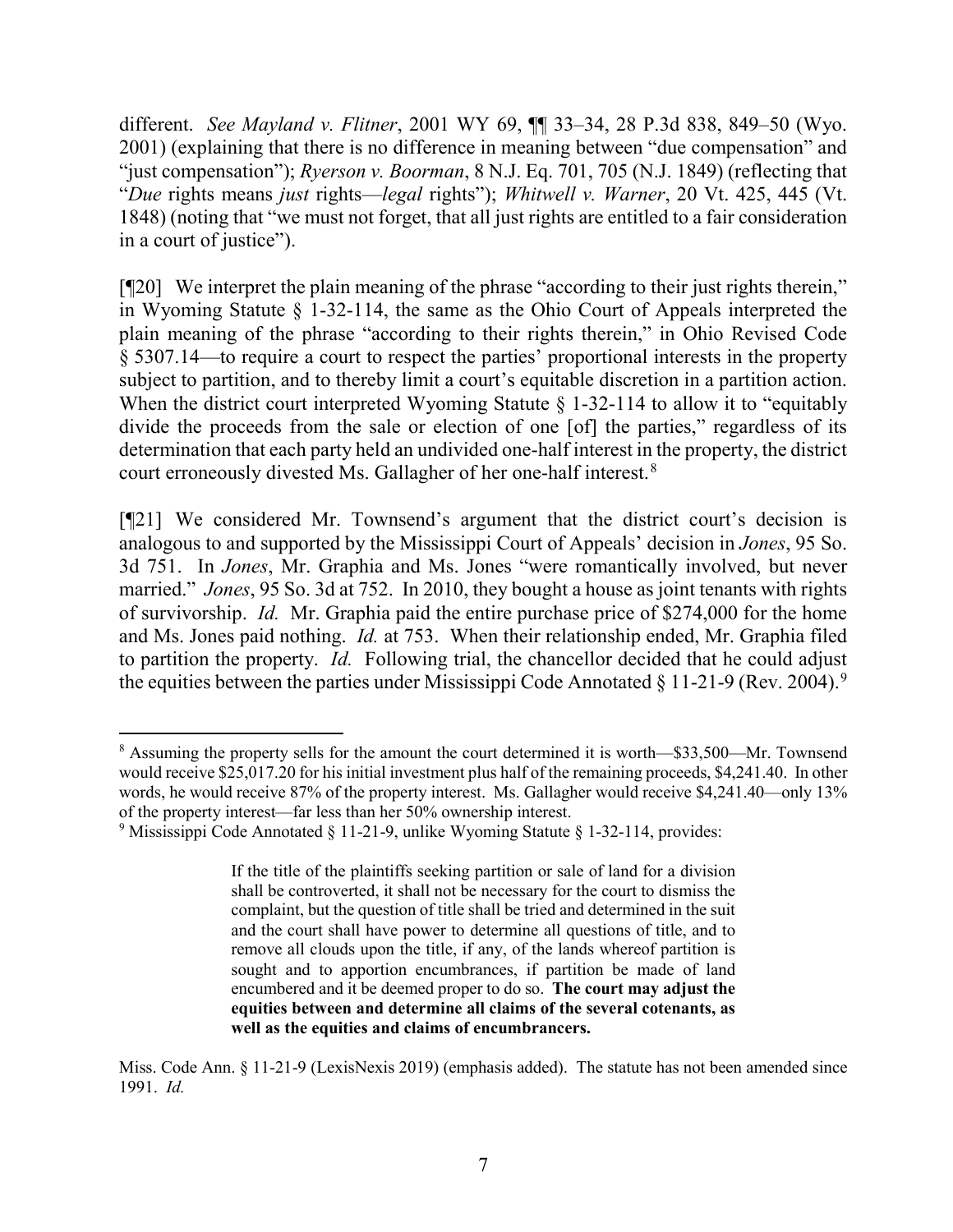different. *See Mayland v. Flitner*, 2001 WY 69, ¶¶ 33–34, 28 P.3d 838, 849–50 (Wyo. 2001) (explaining that there is no difference in meaning between "due compensation" and "just compensation"); *Ryerson v. Boorman*, 8 N.J. Eq. 701, 705 (N.J. 1849) (reflecting that "*Due* rights means *just* rights—*legal* rights"); *Whitwell v. Warner*, 20 Vt. 425, 445 (Vt. 1848) (noting that "we must not forget, that all just rights are entitled to a fair consideration in a court of justice").

[¶20] We interpret the plain meaning of the phrase "according to their just rights therein," in Wyoming Statute § 1-32-114, the same as the Ohio Court of Appeals interpreted the plain meaning of the phrase "according to their rights therein," in Ohio Revised Code § 5307.14—to require a court to respect the parties' proportional interests in the property subject to partition, and to thereby limit a court's equitable discretion in a partition action. When the district court interpreted Wyoming Statute § 1-32-114 to allow it to "equitably divide the proceeds from the sale or election of one [of] the parties," regardless of its determination that each party held an undivided one-half interest in the property, the district court erroneously divested Ms. Gallagher of her one-half interest.<sup>[8](#page-7-0)</sup>

[¶21] We considered Mr. Townsend's argument that the district court's decision is analogous to and supported by the Mississippi Court of Appeals' decision in *Jones*, 95 So. 3d 751. In *Jones*, Mr. Graphia and Ms. Jones "were romantically involved, but never married." *Jones*, 95 So. 3d at 752. In 2010, they bought a house as joint tenants with rights of survivorship. *Id.* Mr. Graphia paid the entire purchase price of \$274,000 for the home and Ms. Jones paid nothing. *Id.* at 753. When their relationship ended, Mr. Graphia filed to partition the property. *Id.* Following trial, the chancellor decided that he could adjust the equities between the parties under Mississippi Code Annotated § 11-21-[9](#page-7-1) (Rev. 2004).<sup>9</sup>

<span id="page-7-0"></span><sup>&</sup>lt;sup>8</sup> Assuming the property sells for the amount the court determined it is worth—\$33,500—Mr. Townsend would receive \$25,017.20 for his initial investment plus half of the remaining proceeds, \$4,241.40. In other words, he would receive 87% of the property interest. Ms. Gallagher would receive \$4,241.40—only 13% of the property interest—far less than her 50% ownership interest.

<span id="page-7-1"></span><sup>9</sup> Mississippi Code Annotated § 11-21-9, unlike Wyoming Statute § 1-32-114, provides:

If the title of the plaintiffs seeking partition or sale of land for a division shall be controverted, it shall not be necessary for the court to dismiss the complaint, but the question of title shall be tried and determined in the suit and the court shall have power to determine all questions of title, and to remove all clouds upon the title, if any, of the lands whereof partition is sought and to apportion encumbrances, if partition be made of land encumbered and it be deemed proper to do so. **The court may adjust the equities between and determine all claims of the several cotenants, as well as the equities and claims of encumbrancers.**

Miss. Code Ann. § 11-21-9 (LexisNexis 2019) (emphasis added). The statute has not been amended since 1991. *Id.*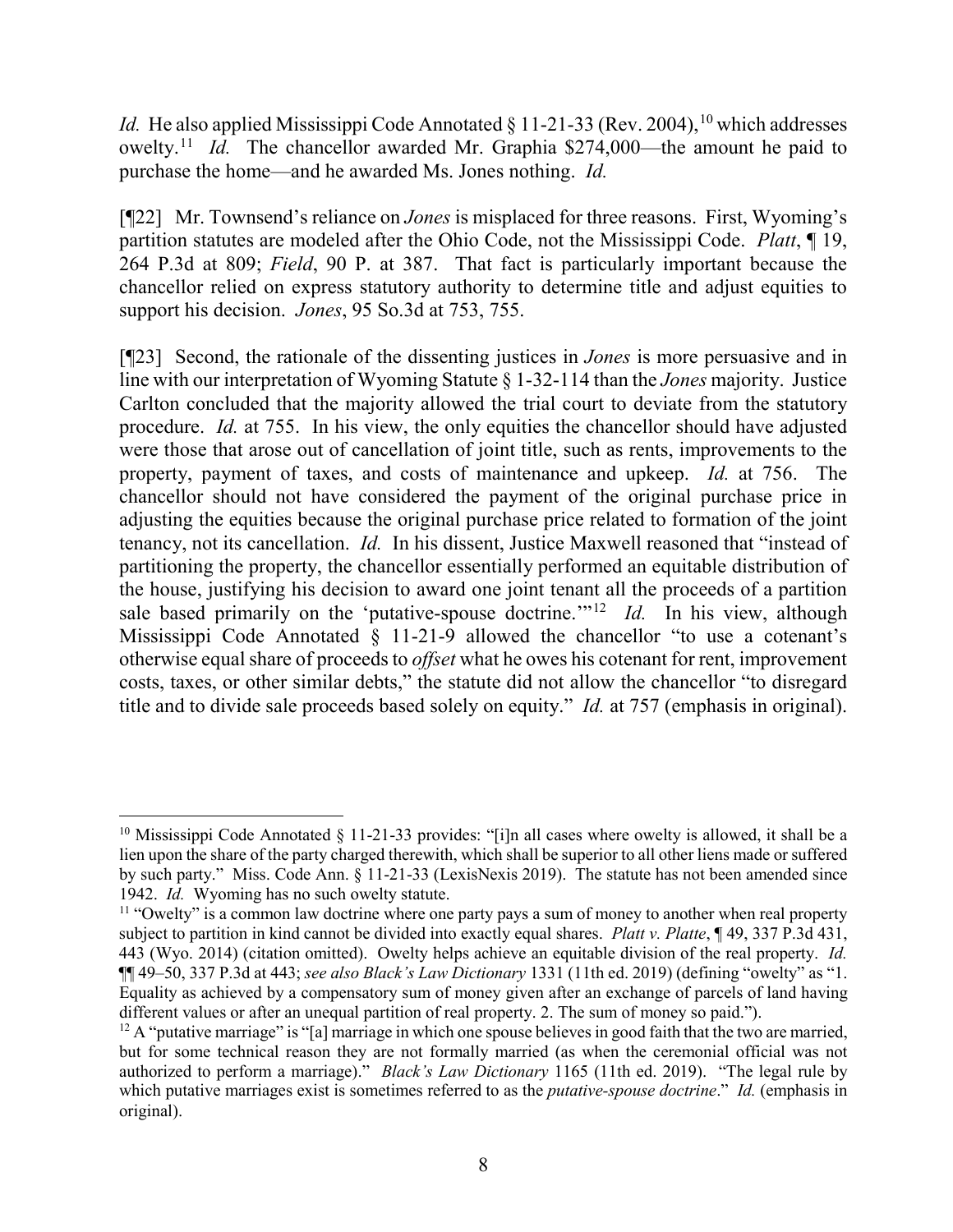*Id.* He also applied Mississippi Code Annotated  $\S$  11-21-33 (Rev. 2004), <sup>[10](#page-8-0)</sup> which addresses owelty.[11](#page-8-1) *Id.* The chancellor awarded Mr. Graphia \$274,000—the amount he paid to purchase the home—and he awarded Ms. Jones nothing. *Id.*

[¶22] Mr. Townsend's reliance on *Jones* is misplaced for three reasons. First, Wyoming's partition statutes are modeled after the Ohio Code, not the Mississippi Code. *Platt*, ¶ 19, 264 P.3d at 809; *Field*, 90 P. at 387. That fact is particularly important because the chancellor relied on express statutory authority to determine title and adjust equities to support his decision. *Jones*, 95 So.3d at 753, 755.

[¶23] Second, the rationale of the dissenting justices in *Jones* is more persuasive and in line with our interpretation of Wyoming Statute § 1-32-114 than the *Jones* majority. Justice Carlton concluded that the majority allowed the trial court to deviate from the statutory procedure. *Id.* at 755. In his view, the only equities the chancellor should have adjusted were those that arose out of cancellation of joint title, such as rents, improvements to the property, payment of taxes, and costs of maintenance and upkeep. *Id.* at 756. The chancellor should not have considered the payment of the original purchase price in adjusting the equities because the original purchase price related to formation of the joint tenancy, not its cancellation. *Id.* In his dissent, Justice Maxwell reasoned that "instead of partitioning the property, the chancellor essentially performed an equitable distribution of the house, justifying his decision to award one joint tenant all the proceeds of a partition sale based primarily on the 'putative-spouse doctrine.'"<sup>12</sup> *Id.* In his view, although Mississippi Code Annotated § 11-21-9 allowed the chancellor "to use a cotenant's otherwise equal share of proceeds to *offset* what he owes his cotenant for rent, improvement costs, taxes, or other similar debts," the statute did not allow the chancellor "to disregard title and to divide sale proceeds based solely on equity." *Id.* at 757 (emphasis in original).

<span id="page-8-0"></span><sup>&</sup>lt;sup>10</sup> Mississippi Code Annotated § 11-21-33 provides: "[i]n all cases where owelty is allowed, it shall be a lien upon the share of the party charged therewith, which shall be superior to all other liens made or suffered by such party." Miss. Code Ann. § 11-21-33 (LexisNexis 2019). The statute has not been amended since 1942. *Id.* Wyoming has no such owelty statute.

<span id="page-8-1"></span><sup>&</sup>lt;sup>11</sup> "Owelty" is a common law doctrine where one party pays a sum of money to another when real property subject to partition in kind cannot be divided into exactly equal shares. *Platt v. Platte*, ¶ 49, 337 P.3d 431, 443 (Wyo. 2014) (citation omitted). Owelty helps achieve an equitable division of the real property. *Id.* ¶¶ 49–50, 337 P.3d at 443; *see also Black's Law Dictionary* 1331 (11th ed. 2019) (defining "owelty" as "1. Equality as achieved by a compensatory sum of money given after an exchange of parcels of land having different values or after an unequal partition of real property. 2. The sum of money so paid.").

<span id="page-8-2"></span><sup>&</sup>lt;sup>12</sup> A "putative marriage" is "[a] marriage in which one spouse believes in good faith that the two are married, but for some technical reason they are not formally married (as when the ceremonial official was not authorized to perform a marriage)." *Black's Law Dictionary* 1165 (11th ed. 2019). "The legal rule by which putative marriages exist is sometimes referred to as the *putative-spouse doctrine*." *Id.* (emphasis in original).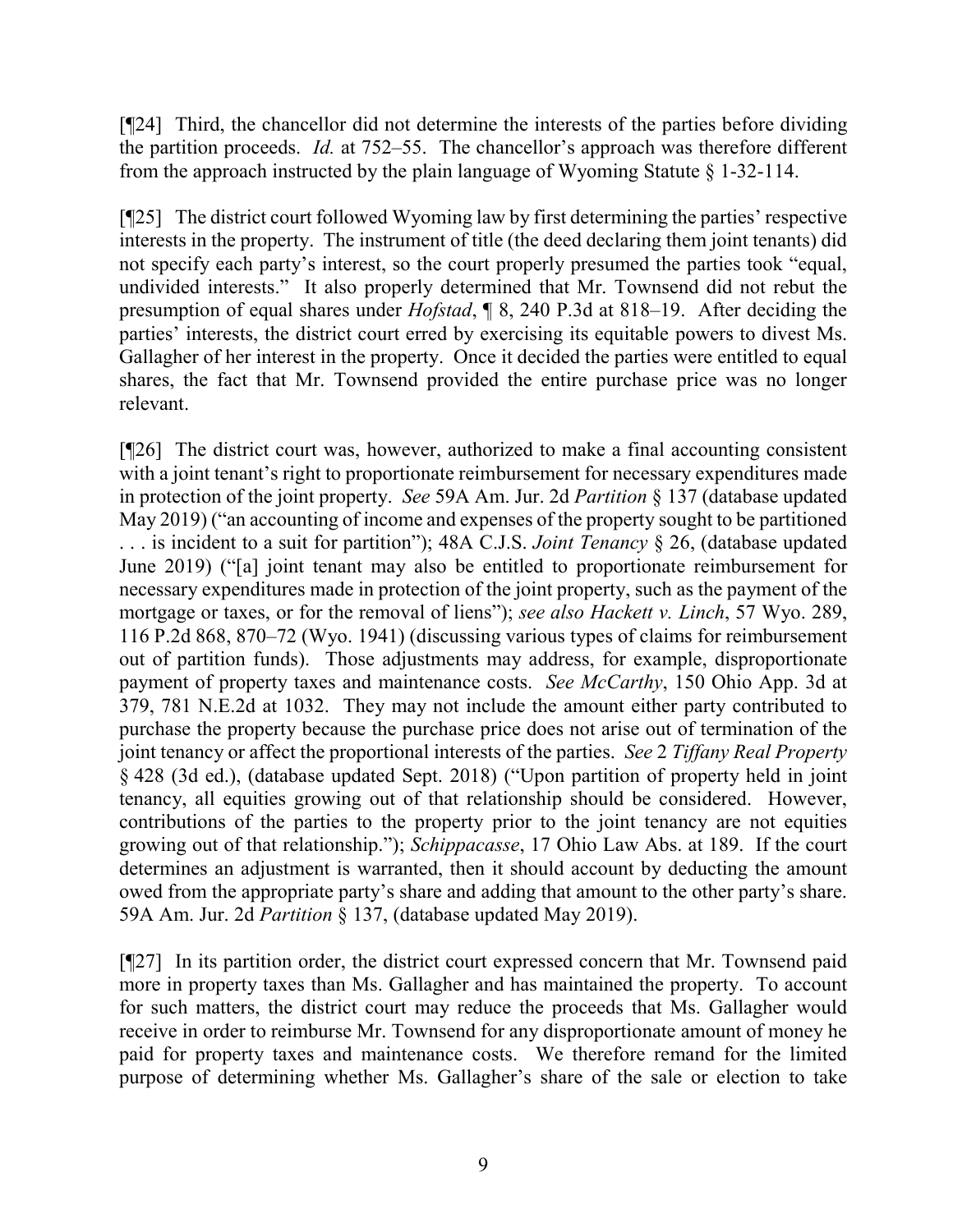[¶24] Third, the chancellor did not determine the interests of the parties before dividing the partition proceeds. *Id.* at 752–55. The chancellor's approach was therefore different from the approach instructed by the plain language of Wyoming Statute § 1-32-114.

[¶25] The district court followed Wyoming law by first determining the parties' respective interests in the property. The instrument of title (the deed declaring them joint tenants) did not specify each party's interest, so the court properly presumed the parties took "equal, undivided interests." It also properly determined that Mr. Townsend did not rebut the presumption of equal shares under *Hofstad*, ¶ 8, 240 P.3d at 818–19. After deciding the parties' interests, the district court erred by exercising its equitable powers to divest Ms. Gallagher of her interest in the property. Once it decided the parties were entitled to equal shares, the fact that Mr. Townsend provided the entire purchase price was no longer relevant.

[¶26] The district court was, however, authorized to make a final accounting consistent with a joint tenant's right to proportionate reimbursement for necessary expenditures made in protection of the joint property. *See* 59A Am. Jur. 2d *Partition* § 137 (database updated May 2019) ("an accounting of income and expenses of the property sought to be partitioned . . . is incident to a suit for partition"); 48A C.J.S. *Joint Tenancy* § 26, (database updated June 2019) ("[a] joint tenant may also be entitled to proportionate reimbursement for necessary expenditures made in protection of the joint property, such as the payment of the mortgage or taxes, or for the removal of liens"); *see also Hackett v. Linch*, 57 Wyo. 289, 116 P.2d 868, 870–72 (Wyo. 1941) (discussing various types of claims for reimbursement out of partition funds). Those adjustments may address, for example, disproportionate payment of property taxes and maintenance costs. *See McCarthy*, 150 Ohio App. 3d at 379, 781 N.E.2d at 1032. They may not include the amount either party contributed to purchase the property because the purchase price does not arise out of termination of the joint tenancy or affect the proportional interests of the parties. *See* 2 *Tiffany Real Property* § 428 (3d ed.), (database updated Sept. 2018) ("Upon partition of property held in joint tenancy, all equities growing out of that relationship should be considered. However, contributions of the parties to the property prior to the joint tenancy are not equities growing out of that relationship."); *Schippacasse*, 17 Ohio Law Abs. at 189. If the court determines an adjustment is warranted, then it should account by deducting the amount owed from the appropriate party's share and adding that amount to the other party's share. 59A Am. Jur. 2d *Partition* § 137, (database updated May 2019).

[¶27] In its partition order, the district court expressed concern that Mr. Townsend paid more in property taxes than Ms. Gallagher and has maintained the property. To account for such matters, the district court may reduce the proceeds that Ms. Gallagher would receive in order to reimburse Mr. Townsend for any disproportionate amount of money he paid for property taxes and maintenance costs. We therefore remand for the limited purpose of determining whether Ms. Gallagher's share of the sale or election to take